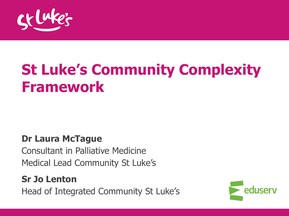

# **St Luke's Community Complexity Framework**

#### **Dr Laura McTague**

Consultant in Palliative Medicine Medical Lead Community St Luke's

#### **Sr Jo Lenton**

Head of Integrated Community St Luke's

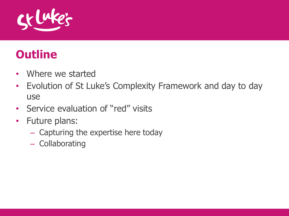

### **Outline**

- Where we started
- Evolution of St Luke's Complexity Framework and day to day use
- Service evaluation of "red" visits
- Future plans:
	- Capturing the expertise here today
	- Collaborating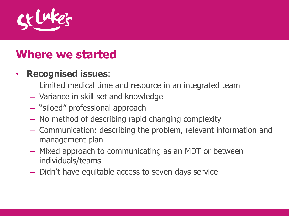

#### **Where we started**

- **Recognised issues**:
	- Limited medical time and resource in an integrated team
	- Variance in skill set and knowledge
	- "siloed" professional approach
	- No method of describing rapid changing complexity
	- Communication: describing the problem, relevant information and management plan
	- Mixed approach to communicating as an MDT or between individuals/teams
	- Didn't have equitable access to seven days service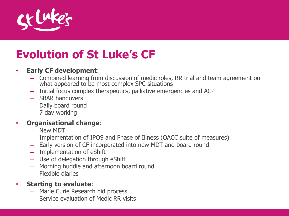

## **Evolution of St Luke's CF**

#### • **Early CF development**:

- Combined learning from discussion of medic roles, RR trial and team agreement on what appeared to be most complex SPC situations
- Initial focus complex therapeutics, palliative emergencies and ACP
- SBAR handovers
- Daily board round
- 7 day working

#### • **Organisational change**:

- New MDT
- Implementation of IPOS and Phase of Illness (OACC suite of measures)
- Early version of CF incorporated into new MDT and board round
- Implementation of eShift
- Use of delegation through eShift
- Morning huddle and afternoon board round
- Flexible diaries

#### • **Starting to evaluate**:

- Marie Curie Research bid process
- Service evaluation of Medic RR visits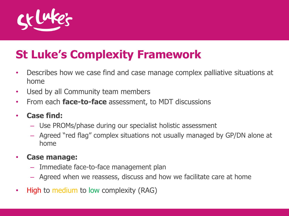

## **St Luke's Complexity Framework**

- Describes how we case find and case manage complex palliative situations at home
- Used by all Community team members
- From each **face-to-face** assessment, to MDT discussions
- **Case find:**
	- Use PROMs/phase during our specialist holistic assessment
	- Agreed "red flag" complex situations not usually managed by GP/DN alone at home

#### • **Case manage:**

- Immediate face-to-face management plan
- Agreed when we reassess, discuss and how we facilitate care at home
- High to medium to low complexity (RAG)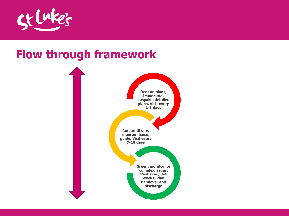

#### **Flow through framework**

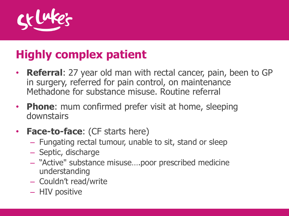

## **Highly complex patient**

- **Referral**: 27 year old man with rectal cancer, pain, been to GP in surgery, referred for pain control, on maintenance Methadone for substance misuse. Routine referral
- **Phone**: mum confirmed prefer visit at home, sleeping downstairs
- **Face-to-face**: (CF starts here)
	- Fungating rectal tumour, unable to sit, stand or sleep
	- Septic, discharge
	- "Active" substance misuse….poor prescribed medicine understanding
	- Couldn't read/write
	- HIV positive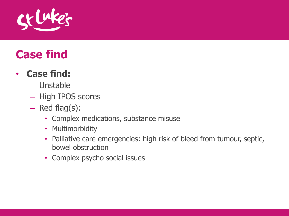

### **Case find**

#### • **Case find:**

- Unstable
- High IPOS scores
- Red flag(s):
	- Complex medications, substance misuse
	- Multimorbidity
	- Palliative care emergencies: high risk of bleed from tumour, septic, bowel obstruction
	- Complex psycho social issues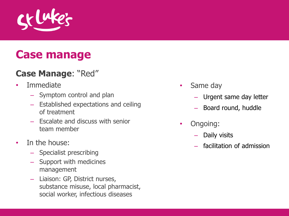

#### **Case manage**

#### **Case Manage**: "Red"

- Immediate
	- Symptom control and plan
	- Established expectations and ceiling of treatment
	- Escalate and discuss with senior team member
- In the house:
	- Specialist prescribing
	- Support with medicines management
	- Liaison: GP, District nurses, substance misuse, local pharmacist, social worker, infectious diseases
- Same day
	- Urgent same day letter
	- Board round, huddle
- Ongoing:
	- Daily visits
	- facilitation of admission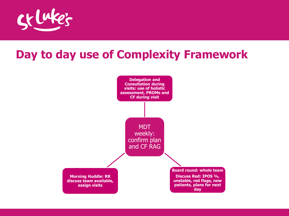

### **Day to day use of Complexity Framework**

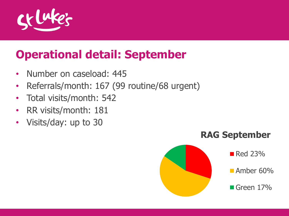

### **Operational detail: September**

- Number on caseload: 445
- Referrals/month: 167 (99 routine/68 urgent)
- Total visits/month: 542
- RR visits/month: 181
- Visits/day: up to 30

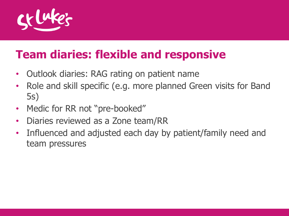

### **Team diaries: flexible and responsive**

- Outlook diaries: RAG rating on patient name
- Role and skill specific (e.g. more planned Green visits for Band 5s)
- Medic for RR not "pre-booked"
- Diaries reviewed as a Zone team/RR
- Influenced and adjusted each day by patient/family need and team pressures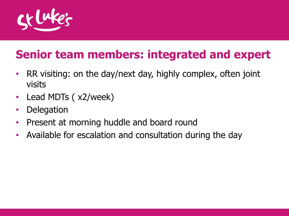

## **Senior team members: integrated and expert**

- RR visiting: on the day/next day, highly complex, often joint visits
- Lead MDTs (x2/week)
- Delegation
- Present at morning huddle and board round
- Available for escalation and consultation during the day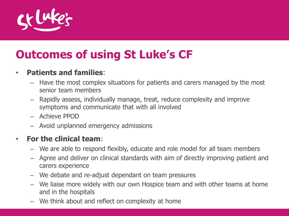

### **Outcomes of using St Luke's CF**

#### • **Patients and families**:

- Have the most complex situations for patients and carers managed by the most senior team members
- Rapidly assess, individually manage, treat, reduce complexity and improve symptoms and communicate that with all involved
- Achieve PPOD
- Avoid unplanned emergency admissions

#### • **For the clinical team**:

- We are able to respond flexibly, educate and role model for all team members
- Agree and deliver on clinical standards with aim of directly improving patient and carers experience
- We debate and re-adjust dependant on team pressures
- We liaise more widely with our own Hospice team and with other teams at home and in the hospitals
- We think about and reflect on complexity at home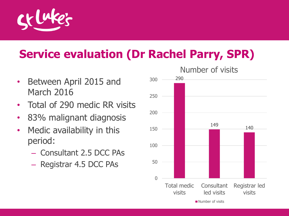

### **Service evaluation (Dr Rachel Parry, SPR)**

- Between April 2015 and March 2016
- Total of 290 medic RR visits
- 83% malignant diagnosis
- Medic availability in this period:
	- Consultant 2.5 DCC PAs
	- Registrar 4.5 DCC PAs

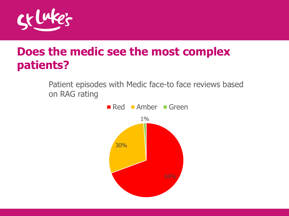

#### **Does the medic see the most complex patients?**

Patient episodes with Medic face-to face reviews based on RAG rating

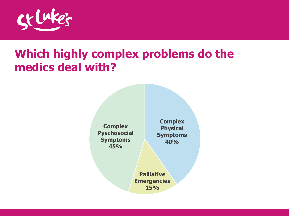

### **Which highly complex problems do the medics deal with?**

**Complex Pyschosocial Symptoms 45%**

**Complex Physical Symptoms 40%**

**Palliative Emergencies 15%**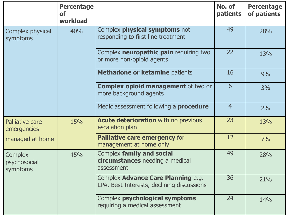|                                            | <b>Percentage</b><br><b>of</b><br>workload |                                                                                  | No. of<br>patients | <b>Percentage</b><br>of patients |
|--------------------------------------------|--------------------------------------------|----------------------------------------------------------------------------------|--------------------|----------------------------------|
| Complex physical<br><b>symptoms</b>        | 40%                                        | Complex <b>physical symptoms</b> not<br>responding to first line treatment       | 49                 | 28%                              |
|                                            |                                            | Complex neuropathic pain requiring two<br>or more non-opioid agents              | 22                 | 13%                              |
|                                            |                                            | Methadone or ketamine patients                                                   | 16                 | 9%                               |
|                                            |                                            | <b>Complex opioid management of two or</b><br>more background agents             | 6                  | 3%                               |
|                                            |                                            | Medic assessment following a <b>procedure</b>                                    | $\overline{4}$     | 2%                               |
| <b>Palliative care</b><br>emergencies      | 15%                                        | <b>Acute deterioration with no previous</b><br>escalation plan                   | 23                 | 13%                              |
| managed at home                            |                                            | Palliative care emergency for<br>management at home only                         | 12                 | 7%                               |
| <b>Complex</b><br>psychosocial<br>symptoms | 45%                                        | Complex family and social<br>circumstances needing a medical<br>assessment       | 49                 | 28%                              |
|                                            |                                            | Complex Advance Care Planning e.g.<br>LPA, Best Interests, declining discussions | 36                 | 21%                              |
|                                            |                                            | Complex psychological symptoms<br>requiring a medical assessment                 | 24                 | 14%                              |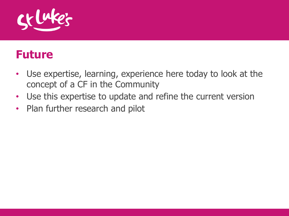

#### **Future**

- Use expertise, learning, experience here today to look at the concept of a CF in the Community
- Use this expertise to update and refine the current version
- Plan further research and pilot